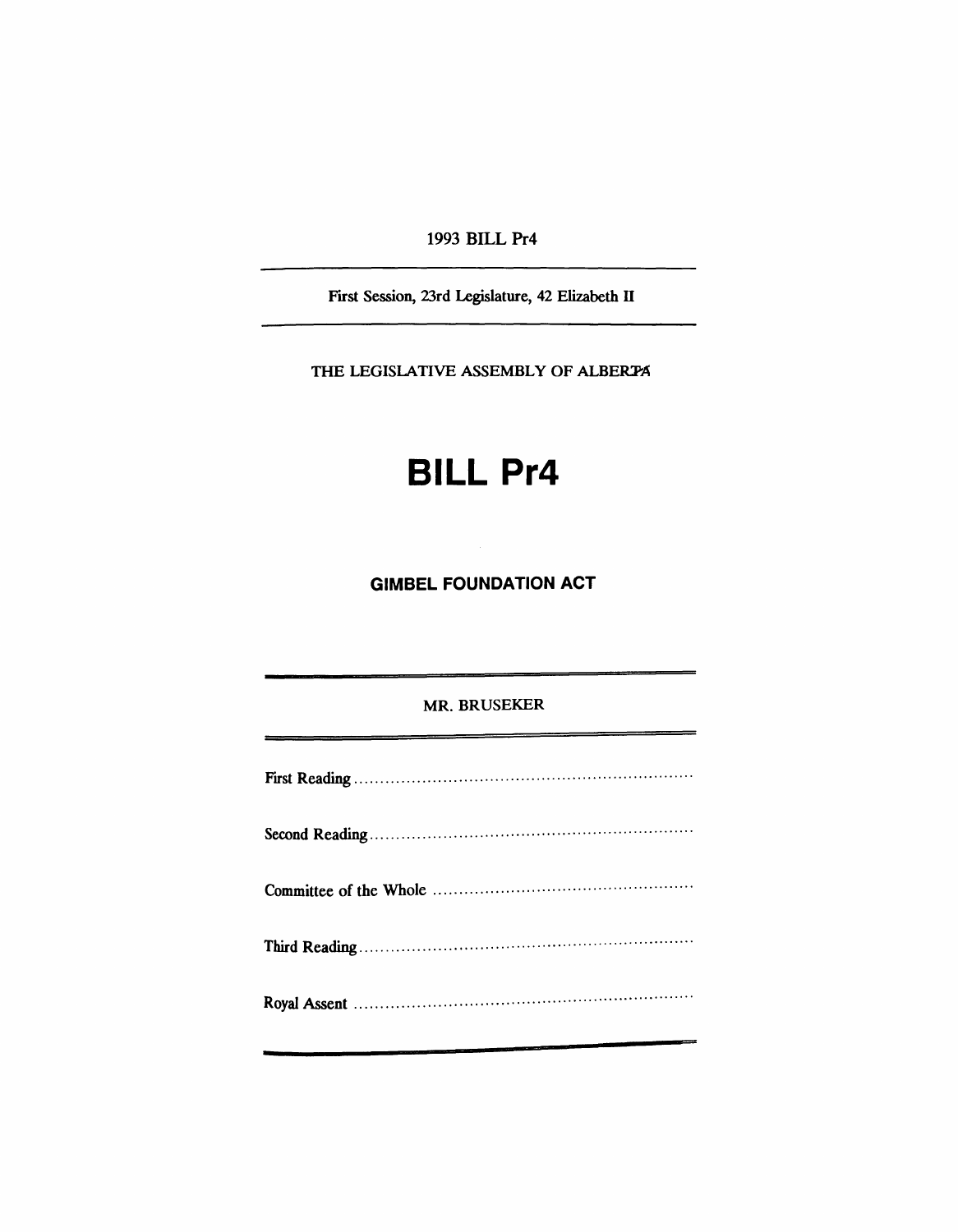1993 BILL Pr4

First Session, 23rd Legislature, 42 Elizabeth II

THE LEGISLATIVE ASSEMBLY OF ALBERTA

## **BILL Pr4**

**GIMBEL FOUNDATION ACT** 

## MR. BRUSEKER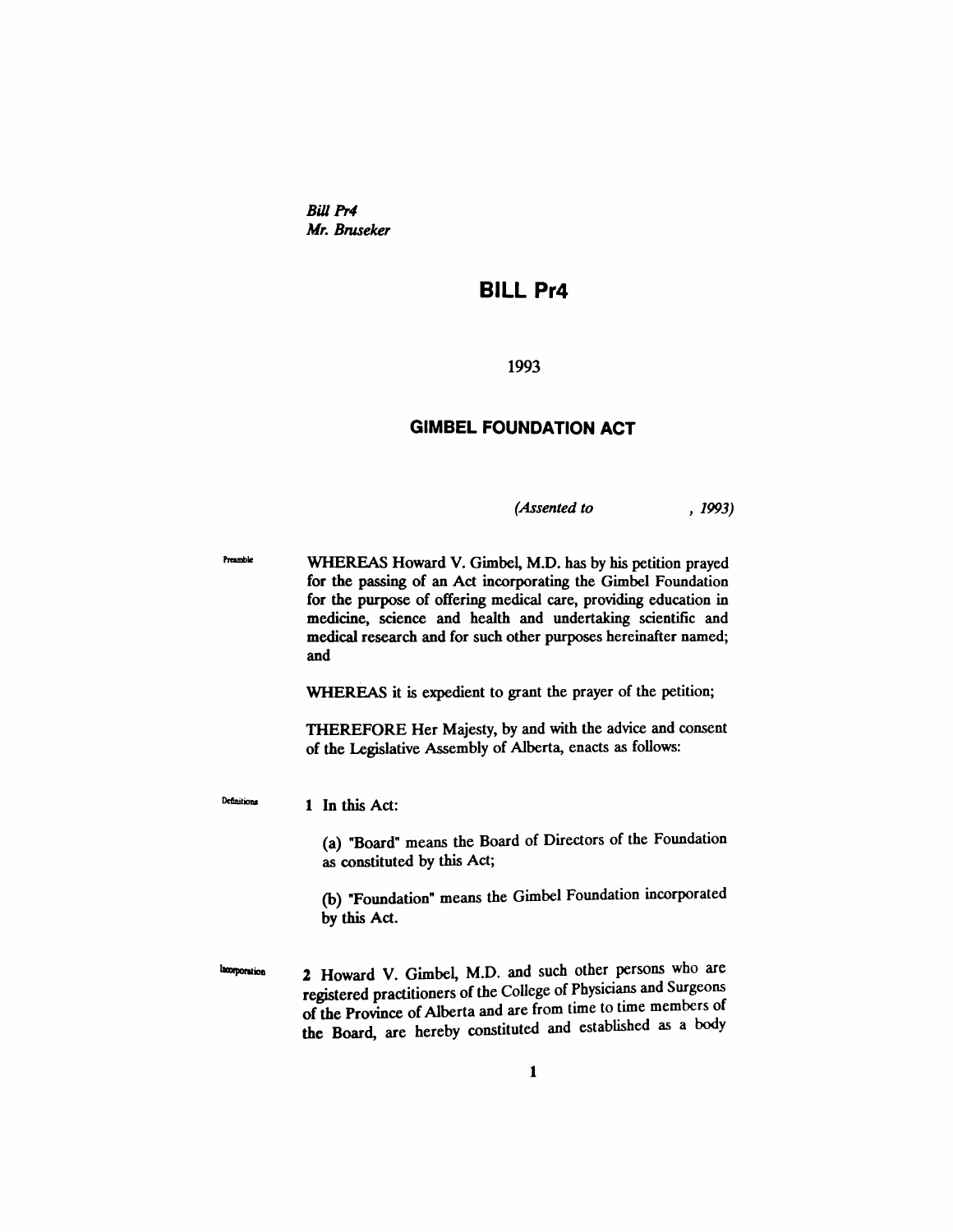*Bill Pr4 Mr. Bruseker*

## **BILL Pr4**

1993

## **GIMBEL FOUNDATION ACT**

*(Assented to* , 1993)

Preamble WHEREAS Howard V. Gimbel, M.D. has by his petition prayed for the passing of an Act incorporating the Gimbel Foundation for the purpose of offering medical care, providing education in medicine, science and health and undertaking scientific and medical research and for such other purposes hereinafter named; and

WHEREAS it is expedient to grant the prayer of the petition;

THEREFORE Her Majesty, by and with the advice and consent of the Legislative Assembly of Alberta, enacts as follows:

1 In this Act:

Definitions

(a) "Board" means the Board of Directors of the Foundation as constituted by this Act;

(b) "Foundation" means the Gimbel Foundation incorporated by this Act.

2 Howard V. Gimbel, M.D. and such other persons who are Incorporation registered practitioners of the College of Physicians and Surgeons of the Province of Alberta and are from time to time members of the Board, are hereby constituted and established as a body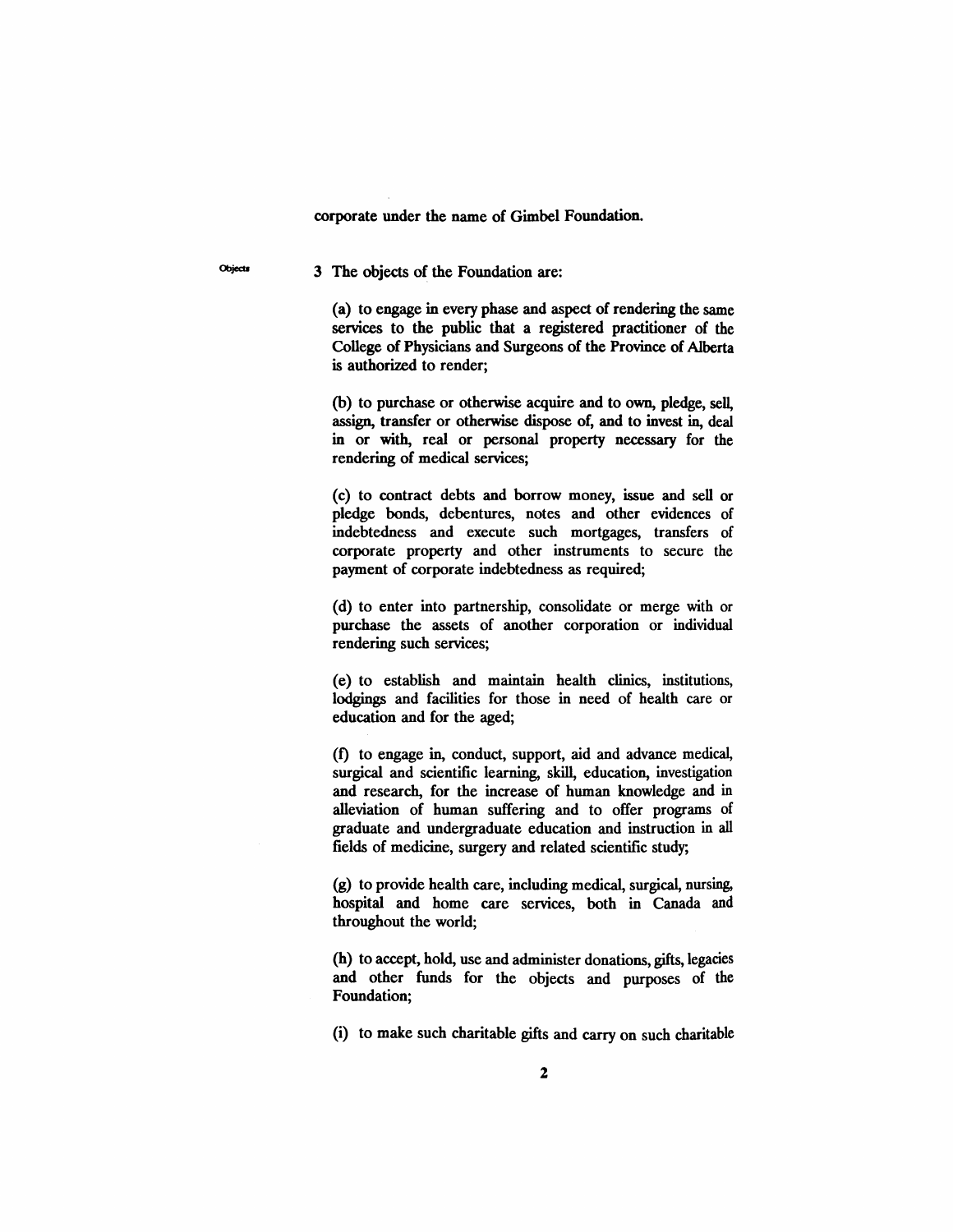corporate under the name of Gimbel Foundation.

Objects 3 The objects of the Foundation are:

(a) to engage in every phase and aspect of rendering the same services to the public that a registered practitioner of the College of Physicians and Surgeons of the Province of Alberta is authorized to render;

(b) to purchase or otherwise acquire and to own, pledge, sell, assign, transfer or otherwise dispose of, and to invest in, deal in or with, real or personal property necessary for the rendering of medical services;

(c) to contract debts and borrow money, issue and sell or pledge bonds, debentures, notes and other evidences of indebtedness and execute such mortgages, transfers of corporate property and other instruments to secure the payment of corporate indebtedness as required;

(d) to enter into partnership, consolidate or merge with or purchase the assets of another corporation or individual rendering such services;

(e) to establish and maintain health clinics, institutions, lodgings and facilities for those in need of health care or education and for the aged;

(1) to engage in, conduct, support, aid and advance medical, surgical and scientific learning, skill, education, investigation and research, for the increase of human knowledge and in alleviation of human suffering and to offer programs of graduate and undergraduate education and instruction in all fields of medicine, surgery and related scientific study;

(g) to provide health care, including medical, surgical, nursing, hospital and home care services, both in Canada and throughout the world;

(h) to accept, hold, use and administer donations, gifts, legacies and other funds for the objects and purposes of the Foundation;

(i) to make such charitable gifts and carry on such charitable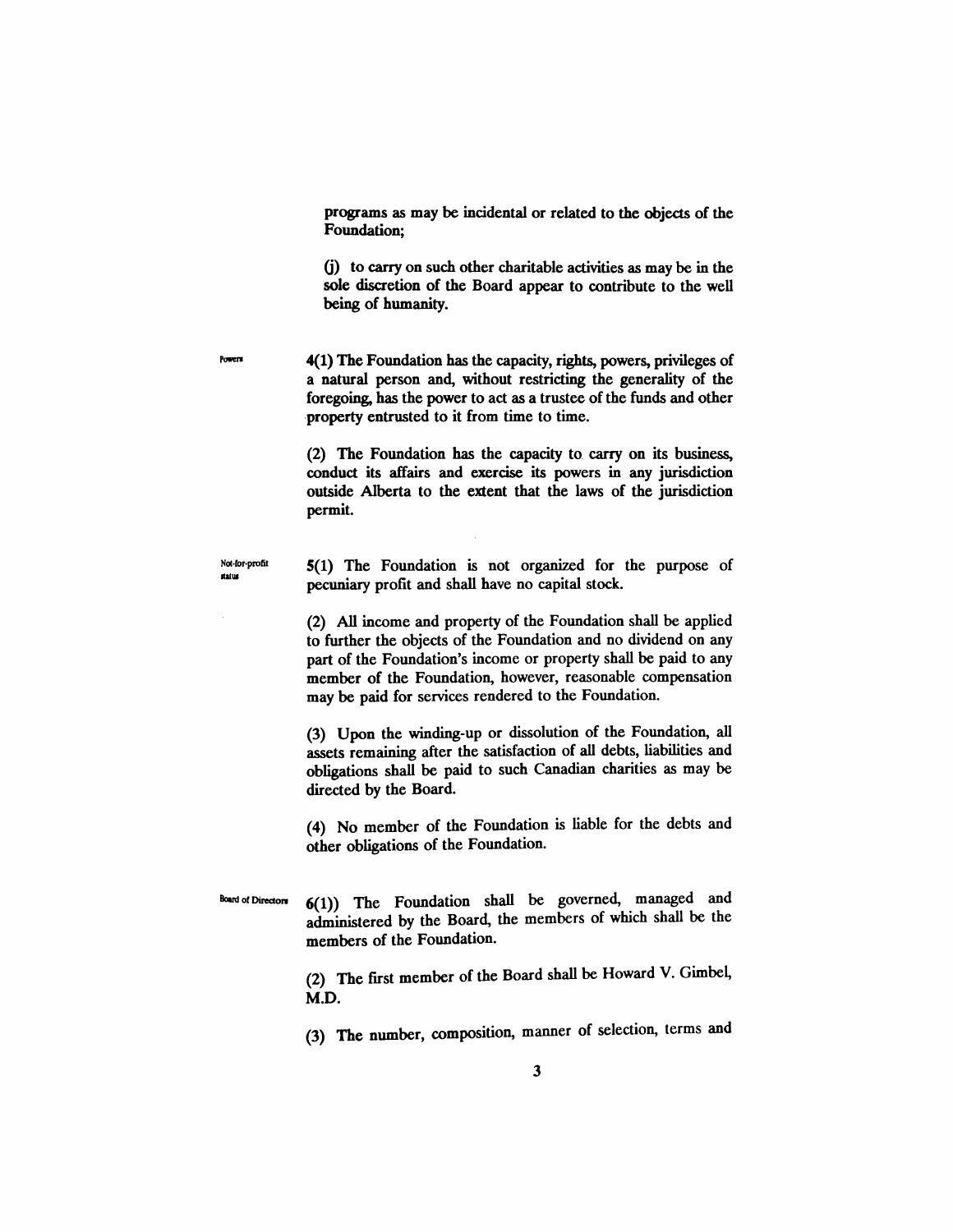programs as may be incidental or related to the objects of the Foundation;

G) to carry on such other charitable activities as may be in the sole discretion of the Board appear to contribute to the well being of humanity.

4(1) The Foundation has the capacity, rights, powers, privileges of a natural person and, without restricting the generality of the foregoing, has the power to act as a trustee of the funds and other property entrusted to it from time to time.

> (2) The Foundation has the capacity to carry on its business, conduct its affairs and exercise its powers in any jurisdiction outside Alberta to the extent that the laws of the jurisdiction permit.

Not-tor-profit status

Powers

5(1) The Foundation is not organized for the purpose of pecuniary profit and shall have no capital stock.

(2) All income and property of the Foundation shall be applied to further the objects of the Foundation and no dividend on any part of the Foundation's income or property shall be paid to any member of the Foundation, however, reasonable compensation may be paid for services rendered to the Foundation.

(3) Upon the winding-up or dissolution of the Foundation, all assets remaining after the satisfaction of all debts, liabilities and obligations shall be paid to such Canadian charities as may be directed by the Board.

(4) No member of the Foundation is liable for the debts and other obligations of the Foundation.

Board of Directors 6(1)) The Foundation shall be governed, managed and administered by the Board, the members of which shall be the members of the Foundation.

> (2) The first member of the Board shall be Howard V. Gimbel, M.D.

> (3) The number, composition, manner of selection, terms and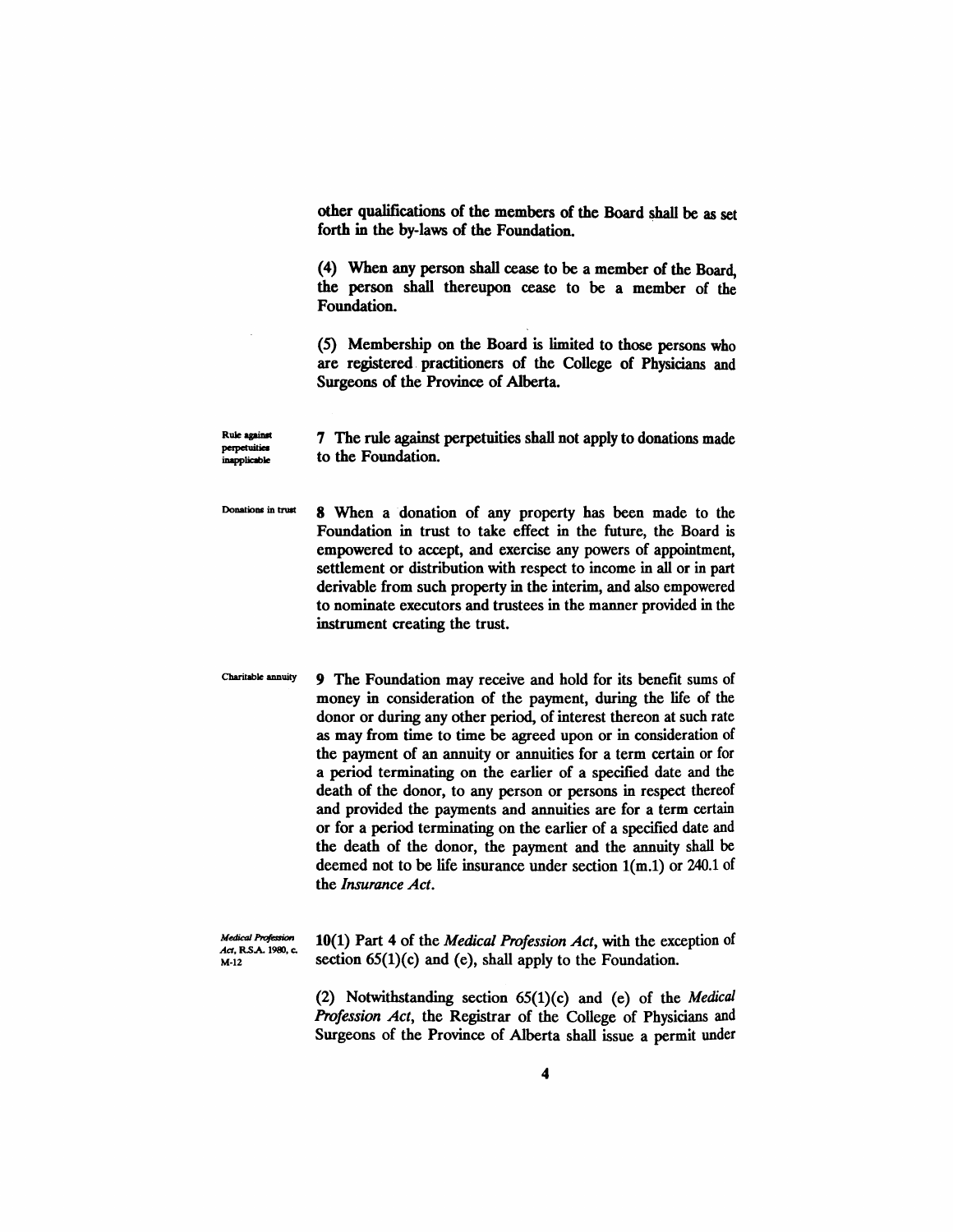other qualifications of the members of the Board shaII be as set forth in the by-laws of the Foundation. .

(4) When any person shall cease to be a member of the Board, the person shall thereupon cease to be a member of the Foundation.

(5) Membership on the Board is limited to those persons who are registered. practitioners of the College of Physicians and Surgeons of the Province of Alberta.

7 The rule against perpetuities shall not apply to donations made to the Foundation.

Donations in trust 8 When a donation of any property has been made to the Foundation in trust to take effect in the future, the Board is empowered to accept, and exercise any powers of appointment, settlement or distribution with respect to income in all or in part derivable from such property in the interim, and also empowered to nominate executors and trustees in the manner provided in the instrument creating the trust.

Charitable annuity 9 The Foundation may receive and hold for its benefit sums of money in consideration of the payment, during the life of the donor or during any other period, of interest thereon at such rate as may from time to time be agreed upon or in consideration of the payment of an annuity or annuities for a term certain or for a period terminating on the earlier of a specified date and the death of the donor, to any person or persons in respect thereof and provided the payments and annuities are for a term certain or for a· period terminating on the earlier of a specified date and the death of the donor, the payment and the annuity shall be deemed not to be life insurance under section 1(m.1) or 240.1 of the *Insurance Act.*

**Medical Profession** *Act,* RS.A. 1980, c. M-12

Rule against perpetuities .<br>inapplicable

> 10(1) Part 4 of the *Medical Profession Act,* with the exception of section  $65(1)(c)$  and  $(e)$ , shall apply to the Foundation.

> (2) Notwithstanding section 65(1)(c) and (e) of the *Medical Profession Act,* the Registrar of the College of Physicians and Surgeons of the Province of Alberta shall issue a permit under